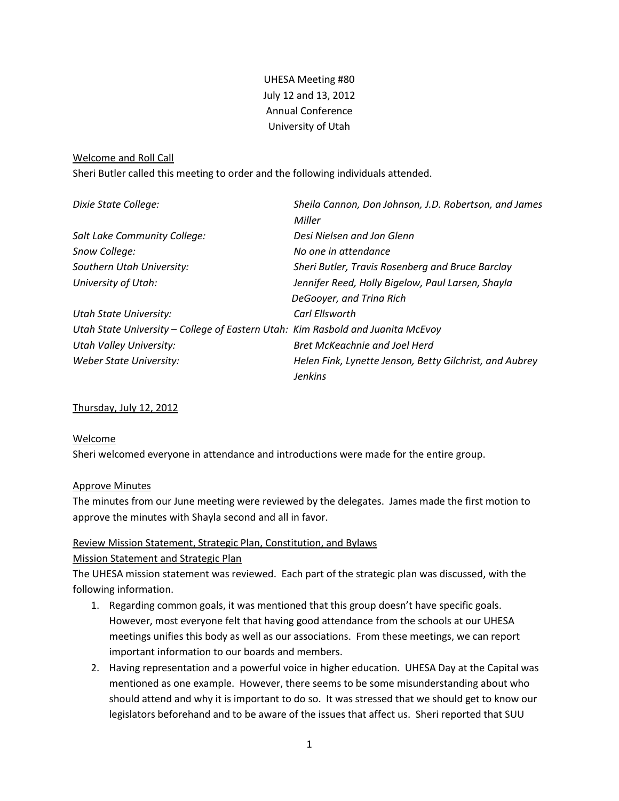# UHESA Meeting #80 July 12 and 13, 2012 Annual Conference University of Utah

#### Welcome and Roll Call

Sheri Butler called this meeting to order and the following individuals attended.

| Dixie State College:                                                            | Sheila Cannon, Don Johnson, J.D. Robertson, and James<br>Miller           |
|---------------------------------------------------------------------------------|---------------------------------------------------------------------------|
| Salt Lake Community College:                                                    | Desi Nielsen and Jon Glenn                                                |
| Snow College:                                                                   | No one in attendance                                                      |
| Southern Utah University:                                                       | Sheri Butler, Travis Rosenberg and Bruce Barclay                          |
| University of Utah:                                                             | Jennifer Reed, Holly Bigelow, Paul Larsen, Shayla                         |
|                                                                                 | DeGooyer, and Trina Rich                                                  |
| Utah State University:                                                          | Carl Fllsworth                                                            |
| Utah State University - College of Eastern Utah: Kim Rasbold and Juanita McEvoy |                                                                           |
| <b>Utah Valley University:</b>                                                  | <b>Bret McKeachnie and Joel Herd</b>                                      |
| Weber State University:                                                         | Helen Fink, Lynette Jenson, Betty Gilchrist, and Aubrey<br><b>Jenkins</b> |

#### Thursday, July 12, 2012

#### Welcome

Sheri welcomed everyone in attendance and introductions were made for the entire group.

#### Approve Minutes

The minutes from our June meeting were reviewed by the delegates. James made the first motion to approve the minutes with Shayla second and all in favor.

#### Review Mission Statement, Strategic Plan, Constitution, and Bylaws

#### Mission Statement and Strategic Plan

The UHESA mission statement was reviewed. Each part of the strategic plan was discussed, with the following information.

- 1. Regarding common goals, it was mentioned that this group doesn't have specific goals. However, most everyone felt that having good attendance from the schools at our UHESA meetings unifies this body as well as our associations. From these meetings, we can report important information to our boards and members.
- 2. Having representation and a powerful voice in higher education. UHESA Day at the Capital was mentioned as one example. However, there seems to be some misunderstanding about who should attend and why it is important to do so. It was stressed that we should get to know our legislators beforehand and to be aware of the issues that affect us. Sheri reported that SUU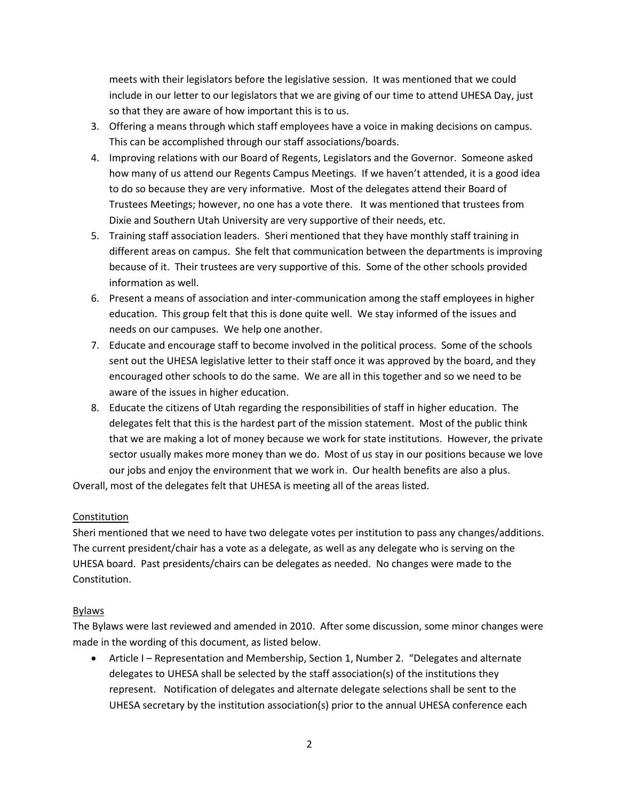meets with their legislators before the legislative session. It was mentioned that we could include in our letter to our legislators that we are giving of our time to attend UHESA Day, just so that they are aware of how important this is to us.

- 3. Offering a means through which staff employees have a voice in making decisions on campus. This can be accomplished through our staff associations/boards.
- 4. Improving relations with our Board of Regents, Legislators and the Governor. Someone asked how many of us attend our Regents Campus Meetings. If we haven't attended, it is a good idea to do so because they are very informative. Most of the delegates attend their Board of Trustees Meetings; however, no one has a vote there. It was mentioned that trustees from Dixie and Southern Utah University are very supportive of their needs, etc.
- 5. Training staff association leaders. Sheri mentioned that they have monthly staff training in different areas on campus. She felt that communication between the departments is improving because of it. Their trustees are very supportive of this. Some of the other schools provided information as well.
- 6. Present a means of association and inter-communication among the staff employees in higher education. This group felt that this is done quite well. We stay informed of the issues and needs on our campuses. We help one another.
- 7. Educate and encourage staff to become involved in the political process. Some of the schools sent out the UHESA legislative letter to their staff once it was approved by the board, and they encouraged other schools to do the same. We are all in this together and so we need to be aware of the issues in higher education.
- 8. Educate the citizens of Utah regarding the responsibilities of staff in higher education. The delegates felt that this is the hardest part of the mission statement. Most of the public think that we are making a lot of money because we work for state institutions. However, the private sector usually makes more money than we do. Most of us stay in our positions because we love our jobs and enjoy the environment that we work in. Our health benefits are also a plus.

Overall, most of the delegates felt that UHESA is meeting all of the areas listed.

## Constitution

Sheri mentioned that we need to have two delegate votes per institution to pass any changes/additions. The current president/chair has a vote as a delegate, as well as any delegate who is serving on the UHESA board. Past presidents/chairs can be delegates as needed. No changes were made to the Constitution.

## Bylaws

The Bylaws were last reviewed and amended in 2010. After some discussion, some minor changes were made in the wording of this document, as listed below.

• Article I – Representation and Membership, Section 1, Number 2. "Delegates and alternate delegates to UHESA shall be selected by the staff association(s) of the institutions they represent. Notification of delegates and alternate delegate selections shall be sent to the UHESA secretary by the institution association(s) prior to the annual UHESA conference each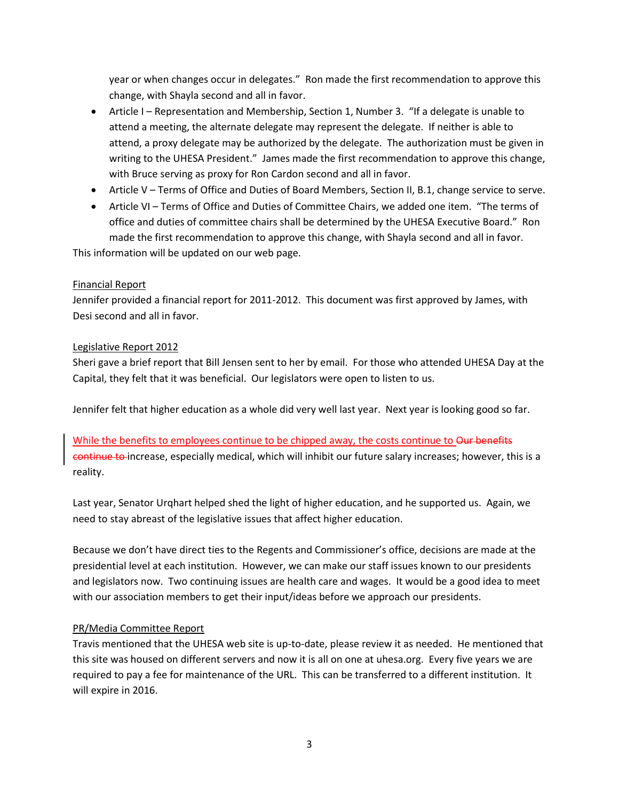year or when changes occur in delegates." Ron made the first recommendation to approve this change, with Shayla second and all in favor.

- Article I Representation and Membership, Section 1, Number 3. "If a delegate is unable to attend a meeting, the alternate delegate may represent the delegate. If neither is able to attend, a proxy delegate may be authorized by the delegate. The authorization must be given in writing to the UHESA President." James made the first recommendation to approve this change, with Bruce serving as proxy for Ron Cardon second and all in favor.
- Article V Terms of Office and Duties of Board Members, Section II, B.1, change service to serve.
- Article VI Terms of Office and Duties of Committee Chairs, we added one item. "The terms of office and duties of committee chairs shall be determined by the UHESA Executive Board." Ron made the first recommendation to approve this change, with Shayla second and all in favor.

This information will be updated on our web page.

## Financial Report

Jennifer provided a financial report for 2011-2012. This document was first approved by James, with Desi second and all in favor.

### Legislative Report 2012

Sheri gave a brief report that Bill Jensen sent to her by email. For those who attended UHESA Day at the Capital, they felt that it was beneficial. Our legislators were open to listen to us.

Jennifer felt that higher education as a whole did very well last year. Next year is looking good so far.

# While the benefits to employees continue to be chipped away, the costs continue to Our benefits continue to increase, especially medical, which will inhibit our future salary increases; however, this is a reality.

Last year, Senator Urqhart helped shed the light of higher education, and he supported us. Again, we need to stay abreast of the legislative issues that affect higher education.

Because we don't have direct ties to the Regents and Commissioner's office, decisions are made at the presidential level at each institution. However, we can make our staff issues known to our presidents and legislators now. Two continuing issues are health care and wages. It would be a good idea to meet with our association members to get their input/ideas before we approach our presidents.

## PR/Media Committee Report

Travis mentioned that the UHESA web site is up-to-date, please review it as needed. He mentioned that this site was housed on different servers and now it is all on one at uhesa.org. Every five years we are required to pay a fee for maintenance of the URL. This can be transferred to a different institution. It will expire in 2016.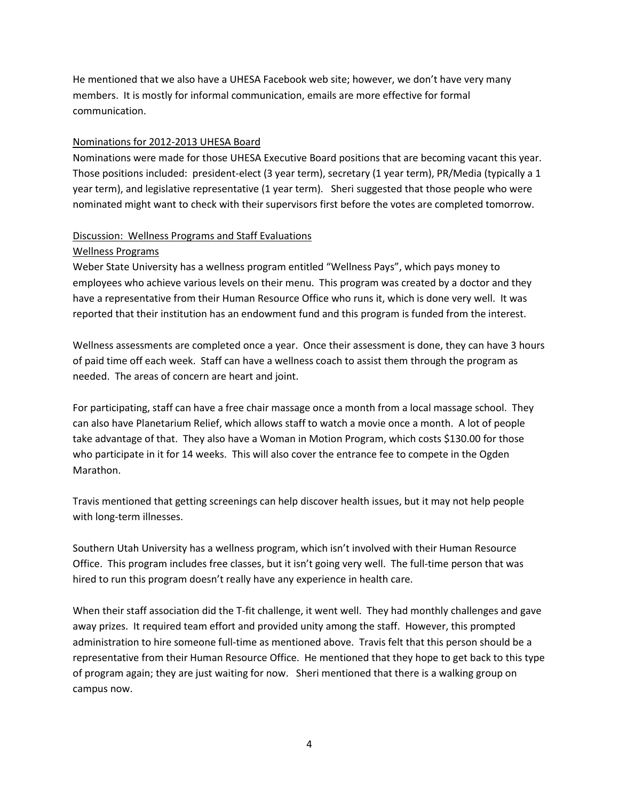He mentioned that we also have a UHESA Facebook web site; however, we don't have very many members. It is mostly for informal communication, emails are more effective for formal communication.

#### Nominations for 2012-2013 UHESA Board

Nominations were made for those UHESA Executive Board positions that are becoming vacant this year. Those positions included: president-elect (3 year term), secretary (1 year term), PR/Media (typically a 1 year term), and legislative representative (1 year term). Sheri suggested that those people who were nominated might want to check with their supervisors first before the votes are completed tomorrow.

# Discussion: Wellness Programs and Staff Evaluations

#### Wellness Programs

Weber State University has a wellness program entitled "Wellness Pays", which pays money to employees who achieve various levels on their menu. This program was created by a doctor and they have a representative from their Human Resource Office who runs it, which is done very well. It was reported that their institution has an endowment fund and this program is funded from the interest.

Wellness assessments are completed once a year. Once their assessment is done, they can have 3 hours of paid time off each week. Staff can have a wellness coach to assist them through the program as needed. The areas of concern are heart and joint.

For participating, staff can have a free chair massage once a month from a local massage school. They can also have Planetarium Relief, which allows staff to watch a movie once a month. A lot of people take advantage of that. They also have a Woman in Motion Program, which costs \$130.00 for those who participate in it for 14 weeks. This will also cover the entrance fee to compete in the Ogden Marathon.

Travis mentioned that getting screenings can help discover health issues, but it may not help people with long-term illnesses.

Southern Utah University has a wellness program, which isn't involved with their Human Resource Office. This program includes free classes, but it isn't going very well. The full-time person that was hired to run this program doesn't really have any experience in health care.

When their staff association did the T-fit challenge, it went well. They had monthly challenges and gave away prizes. It required team effort and provided unity among the staff. However, this prompted administration to hire someone full-time as mentioned above. Travis felt that this person should be a representative from their Human Resource Office. He mentioned that they hope to get back to this type of program again; they are just waiting for now. Sheri mentioned that there is a walking group on campus now.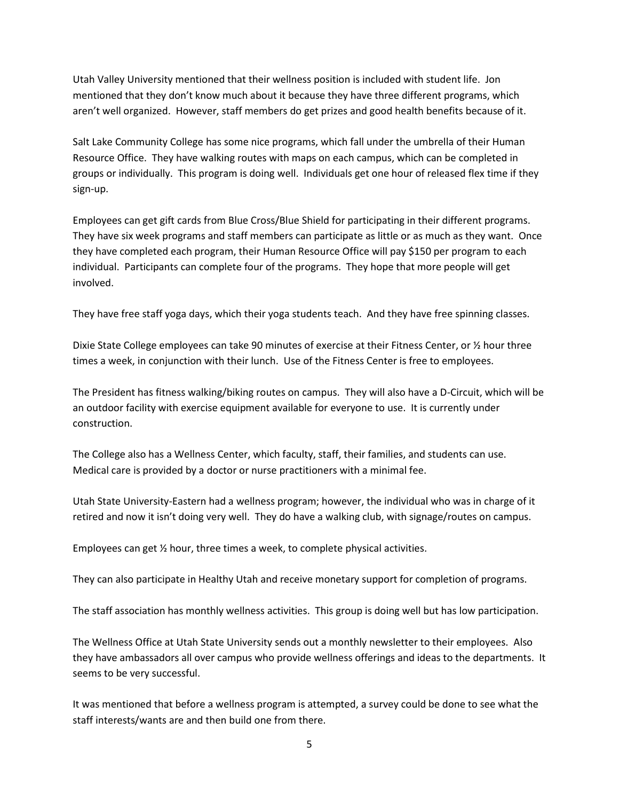Utah Valley University mentioned that their wellness position is included with student life. Jon mentioned that they don't know much about it because they have three different programs, which aren't well organized. However, staff members do get prizes and good health benefits because of it.

Salt Lake Community College has some nice programs, which fall under the umbrella of their Human Resource Office. They have walking routes with maps on each campus, which can be completed in groups or individually. This program is doing well. Individuals get one hour of released flex time if they sign-up.

Employees can get gift cards from Blue Cross/Blue Shield for participating in their different programs. They have six week programs and staff members can participate as little or as much as they want. Once they have completed each program, their Human Resource Office will pay \$150 per program to each individual. Participants can complete four of the programs. They hope that more people will get involved.

They have free staff yoga days, which their yoga students teach. And they have free spinning classes.

Dixie State College employees can take 90 minutes of exercise at their Fitness Center, or ½ hour three times a week, in conjunction with their lunch. Use of the Fitness Center is free to employees.

The President has fitness walking/biking routes on campus. They will also have a D-Circuit, which will be an outdoor facility with exercise equipment available for everyone to use. It is currently under construction.

The College also has a Wellness Center, which faculty, staff, their families, and students can use. Medical care is provided by a doctor or nurse practitioners with a minimal fee.

Utah State University-Eastern had a wellness program; however, the individual who was in charge of it retired and now it isn't doing very well. They do have a walking club, with signage/routes on campus.

Employees can get ½ hour, three times a week, to complete physical activities.

They can also participate in Healthy Utah and receive monetary support for completion of programs.

The staff association has monthly wellness activities. This group is doing well but has low participation.

The Wellness Office at Utah State University sends out a monthly newsletter to their employees. Also they have ambassadors all over campus who provide wellness offerings and ideas to the departments. It seems to be very successful.

It was mentioned that before a wellness program is attempted, a survey could be done to see what the staff interests/wants are and then build one from there.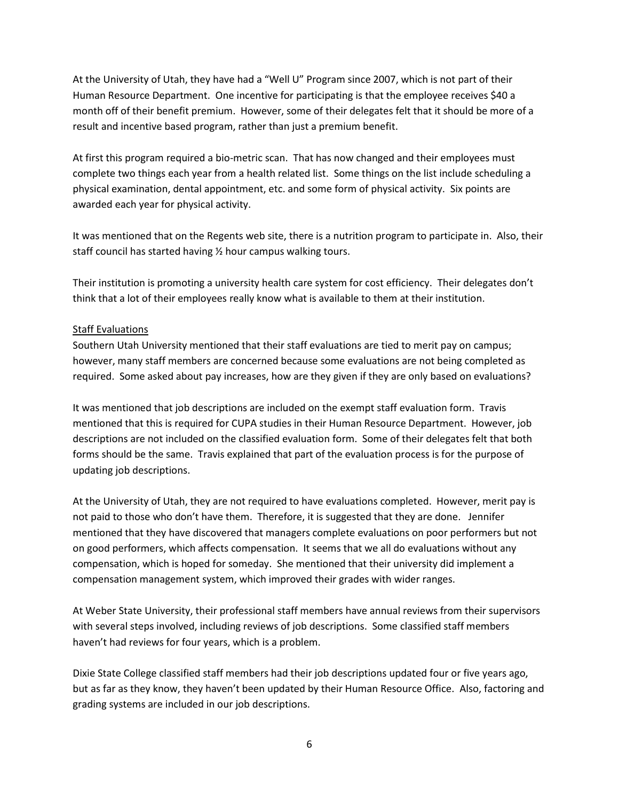At the University of Utah, they have had a "Well U" Program since 2007, which is not part of their Human Resource Department. One incentive for participating is that the employee receives \$40 a month off of their benefit premium. However, some of their delegates felt that it should be more of a result and incentive based program, rather than just a premium benefit.

At first this program required a bio-metric scan. That has now changed and their employees must complete two things each year from a health related list. Some things on the list include scheduling a physical examination, dental appointment, etc. and some form of physical activity. Six points are awarded each year for physical activity.

It was mentioned that on the Regents web site, there is a nutrition program to participate in. Also, their staff council has started having ½ hour campus walking tours.

Their institution is promoting a university health care system for cost efficiency. Their delegates don't think that a lot of their employees really know what is available to them at their institution.

### Staff Evaluations

Southern Utah University mentioned that their staff evaluations are tied to merit pay on campus; however, many staff members are concerned because some evaluations are not being completed as required. Some asked about pay increases, how are they given if they are only based on evaluations?

It was mentioned that job descriptions are included on the exempt staff evaluation form. Travis mentioned that this is required for CUPA studies in their Human Resource Department. However, job descriptions are not included on the classified evaluation form. Some of their delegates felt that both forms should be the same. Travis explained that part of the evaluation process is for the purpose of updating job descriptions.

At the University of Utah, they are not required to have evaluations completed. However, merit pay is not paid to those who don't have them. Therefore, it is suggested that they are done. Jennifer mentioned that they have discovered that managers complete evaluations on poor performers but not on good performers, which affects compensation. It seems that we all do evaluations without any compensation, which is hoped for someday. She mentioned that their university did implement a compensation management system, which improved their grades with wider ranges.

At Weber State University, their professional staff members have annual reviews from their supervisors with several steps involved, including reviews of job descriptions. Some classified staff members haven't had reviews for four years, which is a problem.

Dixie State College classified staff members had their job descriptions updated four or five years ago, but as far as they know, they haven't been updated by their Human Resource Office. Also, factoring and grading systems are included in our job descriptions.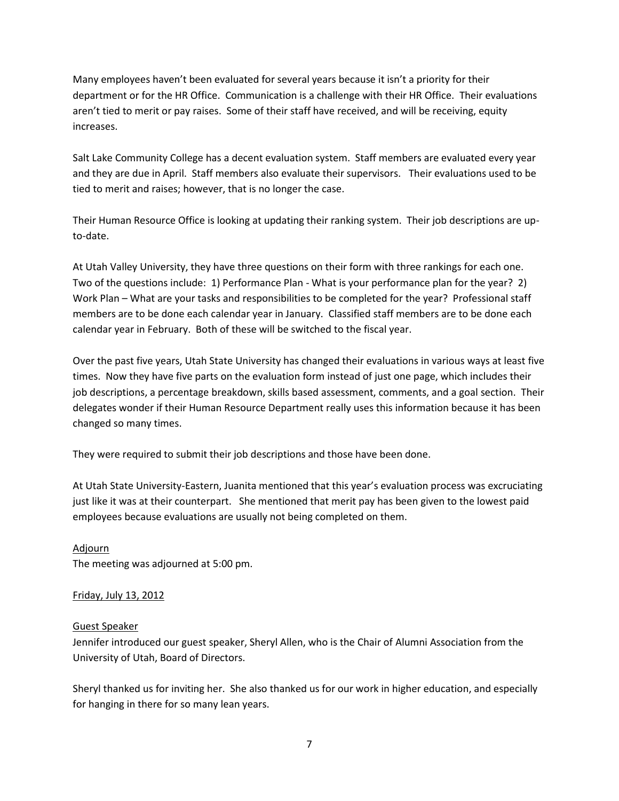Many employees haven't been evaluated for several years because it isn't a priority for their department or for the HR Office. Communication is a challenge with their HR Office. Their evaluations aren't tied to merit or pay raises. Some of their staff have received, and will be receiving, equity increases.

Salt Lake Community College has a decent evaluation system. Staff members are evaluated every year and they are due in April. Staff members also evaluate their supervisors. Their evaluations used to be tied to merit and raises; however, that is no longer the case.

Their Human Resource Office is looking at updating their ranking system. Their job descriptions are upto-date.

At Utah Valley University, they have three questions on their form with three rankings for each one. Two of the questions include: 1) Performance Plan - What is your performance plan for the year? 2) Work Plan – What are your tasks and responsibilities to be completed for the year? Professional staff members are to be done each calendar year in January. Classified staff members are to be done each calendar year in February. Both of these will be switched to the fiscal year.

Over the past five years, Utah State University has changed their evaluations in various ways at least five times. Now they have five parts on the evaluation form instead of just one page, which includes their job descriptions, a percentage breakdown, skills based assessment, comments, and a goal section. Their delegates wonder if their Human Resource Department really uses this information because it has been changed so many times.

They were required to submit their job descriptions and those have been done.

At Utah State University-Eastern, Juanita mentioned that this year's evaluation process was excruciating just like it was at their counterpart. She mentioned that merit pay has been given to the lowest paid employees because evaluations are usually not being completed on them.

Adjourn The meeting was adjourned at 5:00 pm.

#### Friday, July 13, 2012

#### Guest Speaker

Jennifer introduced our guest speaker, Sheryl Allen, who is the Chair of Alumni Association from the University of Utah, Board of Directors.

Sheryl thanked us for inviting her. She also thanked us for our work in higher education, and especially for hanging in there for so many lean years.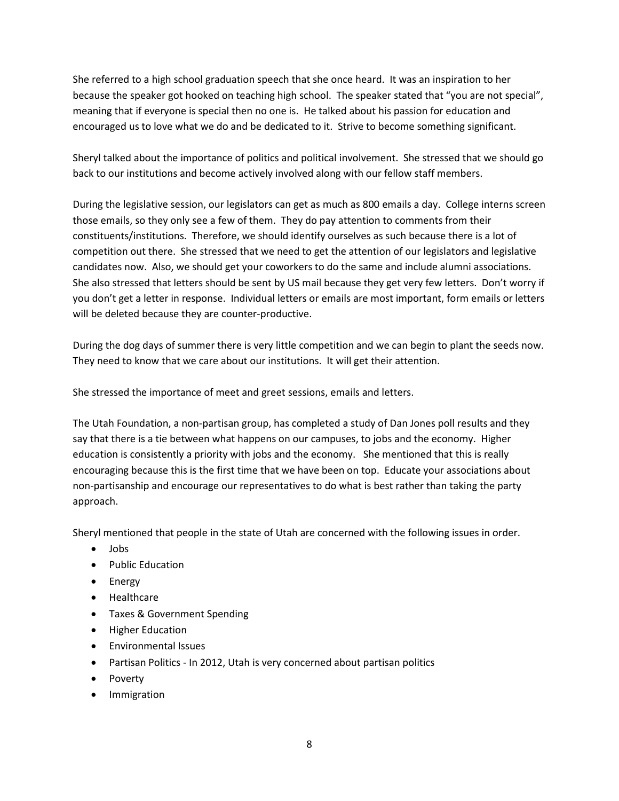She referred to a high school graduation speech that she once heard. It was an inspiration to her because the speaker got hooked on teaching high school. The speaker stated that "you are not special", meaning that if everyone is special then no one is. He talked about his passion for education and encouraged us to love what we do and be dedicated to it. Strive to become something significant.

Sheryl talked about the importance of politics and political involvement. She stressed that we should go back to our institutions and become actively involved along with our fellow staff members.

During the legislative session, our legislators can get as much as 800 emails a day. College interns screen those emails, so they only see a few of them. They do pay attention to comments from their constituents/institutions. Therefore, we should identify ourselves as such because there is a lot of competition out there. She stressed that we need to get the attention of our legislators and legislative candidates now. Also, we should get your coworkers to do the same and include alumni associations. She also stressed that letters should be sent by US mail because they get very few letters. Don't worry if you don't get a letter in response. Individual letters or emails are most important, form emails or letters will be deleted because they are counter-productive.

During the dog days of summer there is very little competition and we can begin to plant the seeds now. They need to know that we care about our institutions. It will get their attention.

She stressed the importance of meet and greet sessions, emails and letters.

The Utah Foundation, a non-partisan group, has completed a study of Dan Jones poll results and they say that there is a tie between what happens on our campuses, to jobs and the economy. Higher education is consistently a priority with jobs and the economy. She mentioned that this is really encouraging because this is the first time that we have been on top. Educate your associations about non-partisanship and encourage our representatives to do what is best rather than taking the party approach.

Sheryl mentioned that people in the state of Utah are concerned with the following issues in order.

- $\bullet$  lobs
- Public Education
- Energy
- Healthcare
- Taxes & Government Spending
- Higher Education
- Environmental Issues
- Partisan Politics In 2012, Utah is very concerned about partisan politics
- Poverty
- **•** Immigration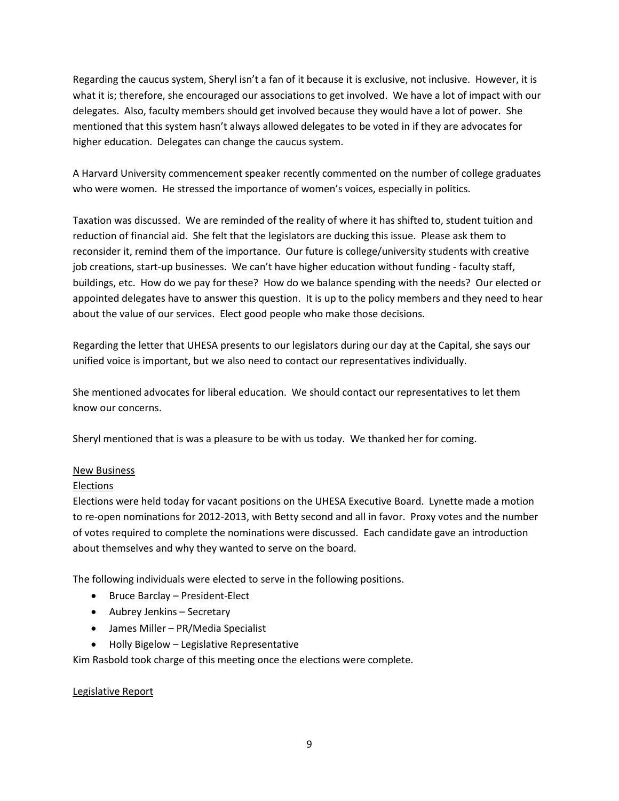Regarding the caucus system, Sheryl isn't a fan of it because it is exclusive, not inclusive. However, it is what it is; therefore, she encouraged our associations to get involved. We have a lot of impact with our delegates. Also, faculty members should get involved because they would have a lot of power. She mentioned that this system hasn't always allowed delegates to be voted in if they are advocates for higher education. Delegates can change the caucus system.

A Harvard University commencement speaker recently commented on the number of college graduates who were women. He stressed the importance of women's voices, especially in politics.

Taxation was discussed. We are reminded of the reality of where it has shifted to, student tuition and reduction of financial aid. She felt that the legislators are ducking this issue. Please ask them to reconsider it, remind them of the importance. Our future is college/university students with creative job creations, start-up businesses. We can't have higher education without funding - faculty staff, buildings, etc. How do we pay for these? How do we balance spending with the needs? Our elected or appointed delegates have to answer this question. It is up to the policy members and they need to hear about the value of our services. Elect good people who make those decisions.

Regarding the letter that UHESA presents to our legislators during our day at the Capital, she says our unified voice is important, but we also need to contact our representatives individually.

She mentioned advocates for liberal education. We should contact our representatives to let them know our concerns.

Sheryl mentioned that is was a pleasure to be with us today. We thanked her for coming.

#### New Business

#### Elections

Elections were held today for vacant positions on the UHESA Executive Board. Lynette made a motion to re-open nominations for 2012-2013, with Betty second and all in favor. Proxy votes and the number of votes required to complete the nominations were discussed. Each candidate gave an introduction about themselves and why they wanted to serve on the board.

The following individuals were elected to serve in the following positions.

- Bruce Barclay President-Elect
- Aubrey Jenkins Secretary
- James Miller PR/Media Specialist
- Holly Bigelow Legislative Representative

Kim Rasbold took charge of this meeting once the elections were complete.

#### Legislative Report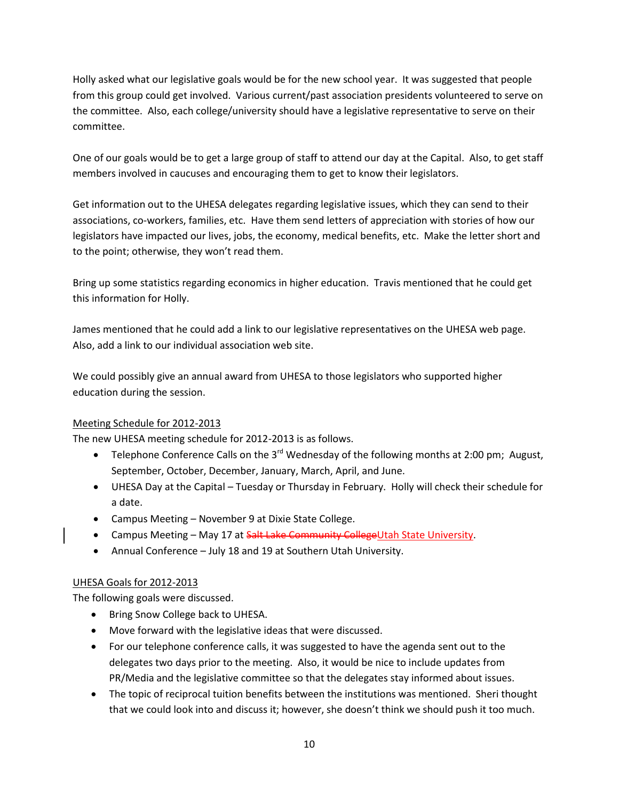Holly asked what our legislative goals would be for the new school year. It was suggested that people from this group could get involved. Various current/past association presidents volunteered to serve on the committee. Also, each college/university should have a legislative representative to serve on their committee.

One of our goals would be to get a large group of staff to attend our day at the Capital. Also, to get staff members involved in caucuses and encouraging them to get to know their legislators.

Get information out to the UHESA delegates regarding legislative issues, which they can send to their associations, co-workers, families, etc. Have them send letters of appreciation with stories of how our legislators have impacted our lives, jobs, the economy, medical benefits, etc. Make the letter short and to the point; otherwise, they won't read them.

Bring up some statistics regarding economics in higher education. Travis mentioned that he could get this information for Holly.

James mentioned that he could add a link to our legislative representatives on the UHESA web page. Also, add a link to our individual association web site.

We could possibly give an annual award from UHESA to those legislators who supported higher education during the session.

## Meeting Schedule for 2012-2013

The new UHESA meeting schedule for 2012-2013 is as follows.

- Telephone Conference Calls on the  $3^{rd}$  Wednesday of the following months at 2:00 pm; August, September, October, December, January, March, April, and June.
- UHESA Day at the Capital Tuesday or Thursday in February. Holly will check their schedule for a date.
- Campus Meeting November 9 at Dixie State College.
- Campus Meeting May 17 at Salt Lake Community CollegeUtah State University.
- Annual Conference July 18 and 19 at Southern Utah University.

## UHESA Goals for 2012-2013

The following goals were discussed.

- Bring Snow College back to UHESA.
- Move forward with the legislative ideas that were discussed.
- For our telephone conference calls, it was suggested to have the agenda sent out to the delegates two days prior to the meeting. Also, it would be nice to include updates from PR/Media and the legislative committee so that the delegates stay informed about issues.
- The topic of reciprocal tuition benefits between the institutions was mentioned. Sheri thought that we could look into and discuss it; however, she doesn't think we should push it too much.